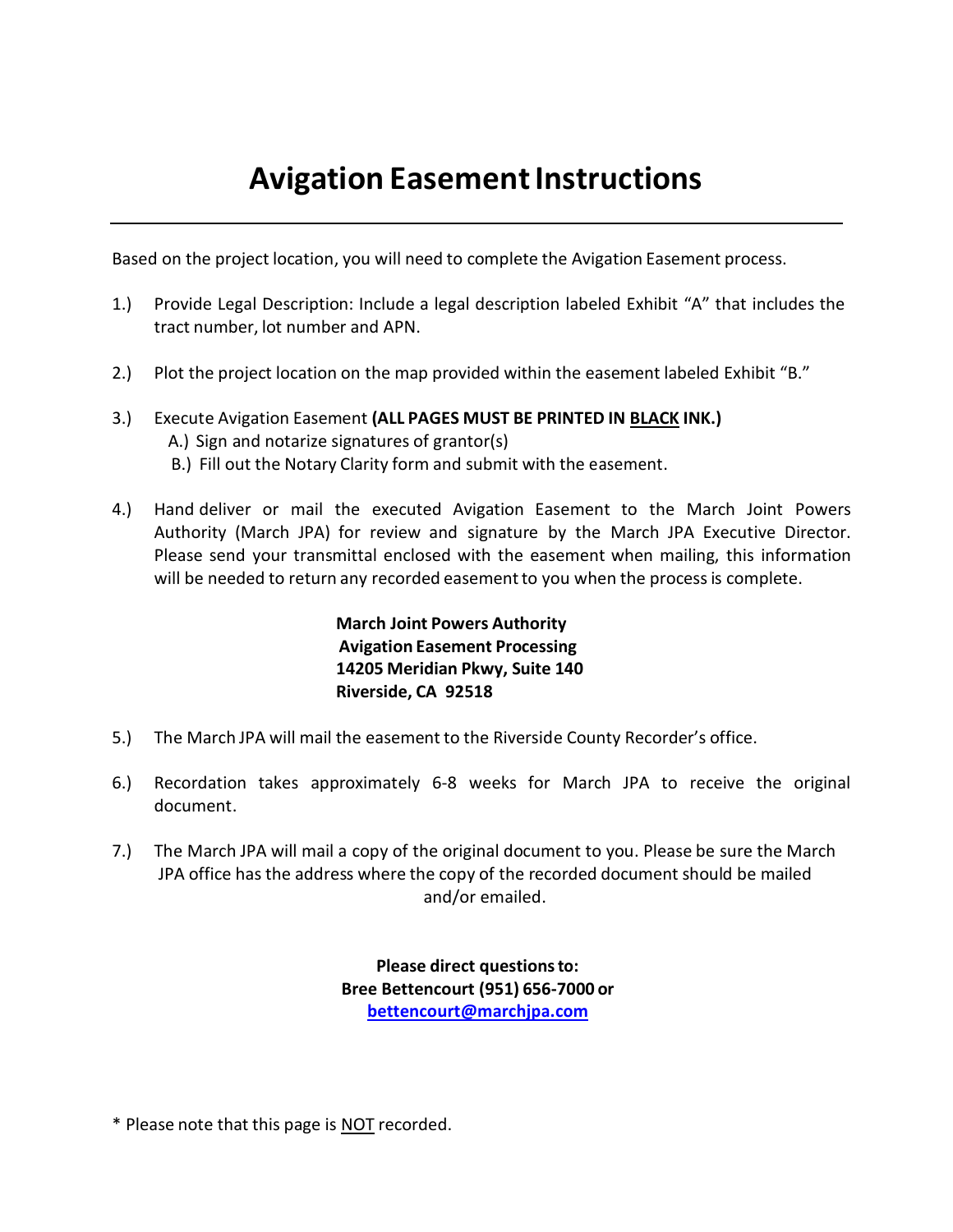Based on the project location, you will need to complete the Avigation Easement process.

- 1.) Provide Legal Description: Include a legal description labeled Exhibit "A" that includes the tract number, lot number and APN.
- 2.) Plot the project location on the map provided within the easement labeled Exhibit "B."
- 3.) Execute Avigation Easement **(ALL PAGES MUST BE PRINTED IN BLACK INK.)** A.) Sign and notarize signatures of grantor(s) B.) Fill out the Notary Clarity form and submit with the easement.
- 4.) Hand deliver or mail the executed Avigation Easement to the March Joint Powers Authority (March JPA) for review and signature by the March JPA Executive Director. Please send your transmittal enclosed with the easement when mailing, this information will be needed to return any recorded easement to you when the process is complete.

**March Joint Powers Authority Avigation Easement Processing 14205 Meridian Pkwy, Suite 140 Riverside, CA 92518**

- 5.) The March JPA will mail the easement to the Riverside County Recorder's office.
- 6.) Recordation takes approximately 6-8 weeks for March JPA to receive the original document.
- 7.) The March JPA will mail a copy of the original document to you. Please be sure the March JPA office has the address where the copy of the recorded document should be mailed and/or emailed.

**Please direct questionsto: Bree Bettencourt (951) 656-7000 or [bettencourt@marchjpa.com](mailto:bettencourt@marchjpa.com)**

\* Please note that this page is NOT recorded.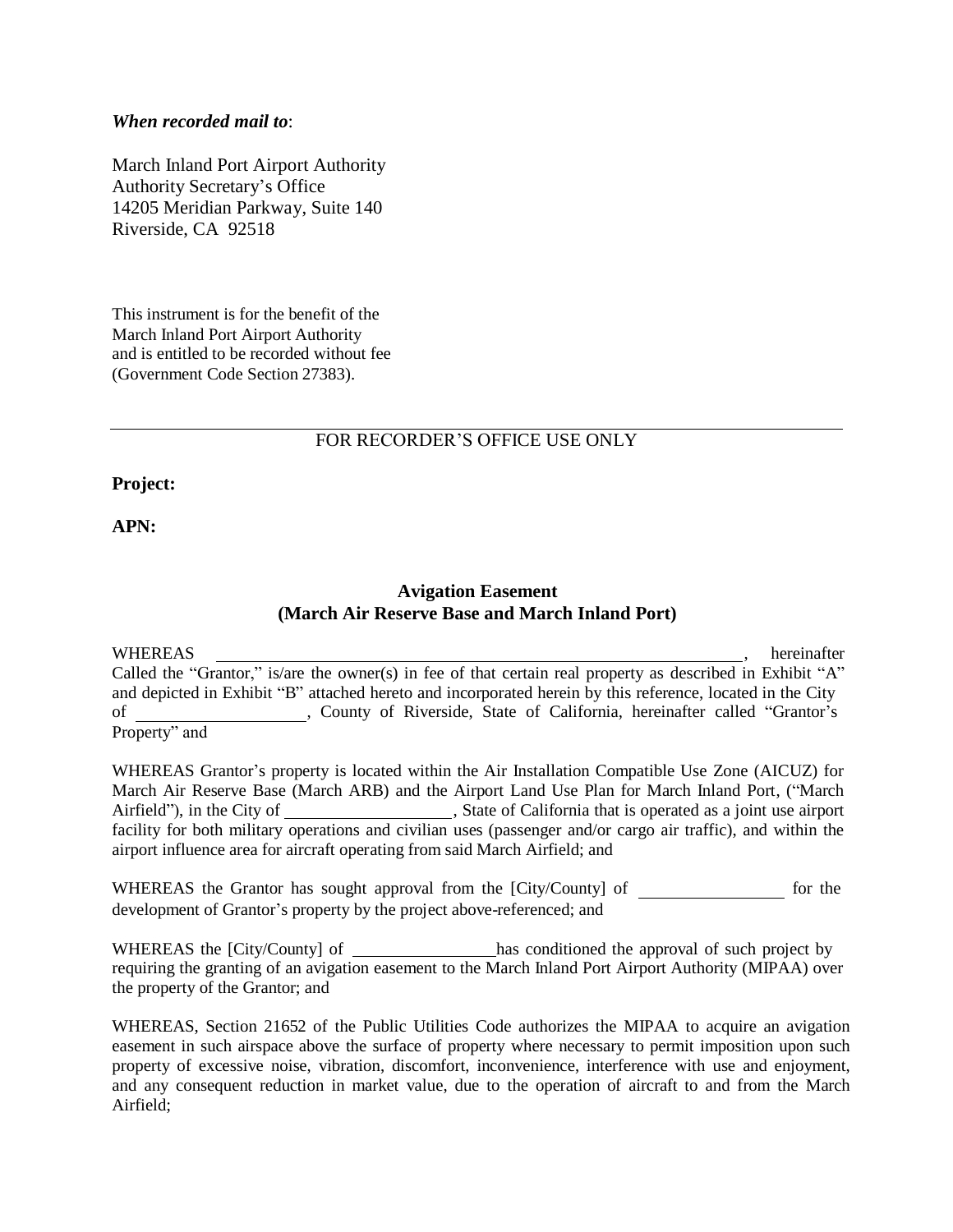## *When recorded mail to*:

March Inland Port Airport Authority Authority Secretary's Office 14205 Meridian Parkway, Suite 140 Riverside, CA 92518

This instrument is for the benefit of the March Inland Port Airport Authority and is entitled to be recorded without fee (Government Code Section 27383).

## FOR RECORDER'S OFFICE USE ONLY

**Project:** 

**APN:**

## **Avigation Easement (March Air Reserve Base and March Inland Port)**

WHEREAS , hereinafter Called the "Grantor," is/are the owner(s) in fee of that certain real property as described in Exhibit "A" and depicted in Exhibit "B" attached hereto and incorporated herein by this reference, located in the City of Property" and , County of Riverside, State of California, hereinafter called "Grantor's

WHEREAS Grantor's property is located within the Air Installation Compatible Use Zone (AICUZ) for March Air Reserve Base (March ARB) and the Airport Land Use Plan for March Inland Port, ("March Airfield"), in the City of \_\_\_\_\_\_\_\_\_\_\_\_\_\_\_\_\_\_\_, State of California that is operated as a joint use airport facility for both military operations and civilian uses (passenger and/or cargo air traffic), and within the airport influence area for aircraft operating from said March Airfield; and

WHEREAS the Grantor has sought approval from the [City/County] of for the development of Grantor's property by the project above-referenced; and

WHEREAS the [City/County] of has conditioned the approval of such project by requiring the granting of an avigation easement to the March Inland Port Airport Authority (MIPAA) over the property of the Grantor; and

WHEREAS, Section 21652 of the Public Utilities Code authorizes the MIPAA to acquire an avigation easement in such airspace above the surface of property where necessary to permit imposition upon such property of excessive noise, vibration, discomfort, inconvenience, interference with use and enjoyment, and any consequent reduction in market value, due to the operation of aircraft to and from the March Airfield;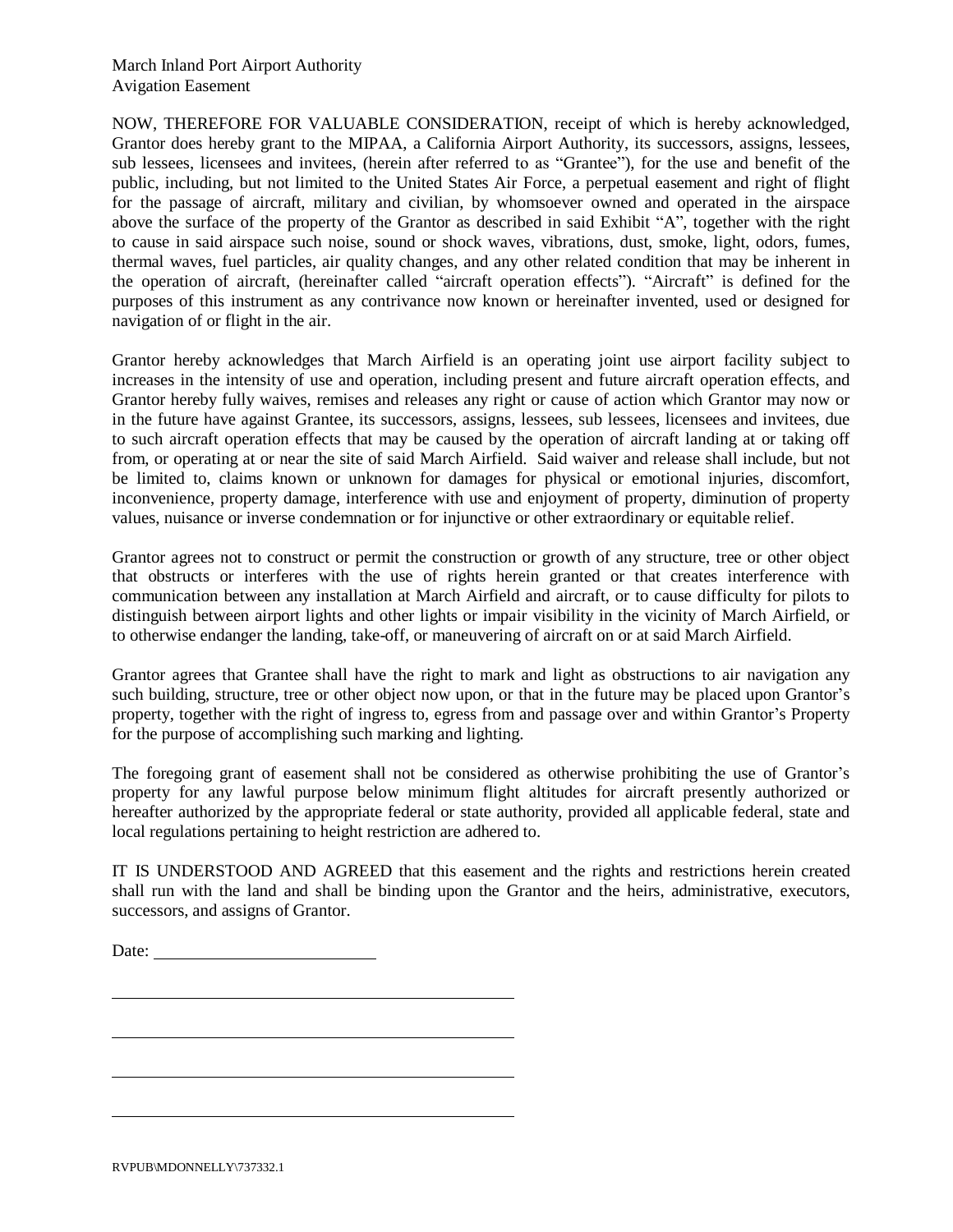### March Inland Port Airport Authority Avigation Easement

NOW, THEREFORE FOR VALUABLE CONSIDERATION, receipt of which is hereby acknowledged, Grantor does hereby grant to the MIPAA, a California Airport Authority, its successors, assigns, lessees, sub lessees, licensees and invitees, (herein after referred to as "Grantee"), for the use and benefit of the public, including, but not limited to the United States Air Force, a perpetual easement and right of flight for the passage of aircraft, military and civilian, by whomsoever owned and operated in the airspace above the surface of the property of the Grantor as described in said Exhibit "A", together with the right to cause in said airspace such noise, sound or shock waves, vibrations, dust, smoke, light, odors, fumes, thermal waves, fuel particles, air quality changes, and any other related condition that may be inherent in the operation of aircraft, (hereinafter called "aircraft operation effects"). "Aircraft" is defined for the purposes of this instrument as any contrivance now known or hereinafter invented, used or designed for navigation of or flight in the air.

Grantor hereby acknowledges that March Airfield is an operating joint use airport facility subject to increases in the intensity of use and operation, including present and future aircraft operation effects, and Grantor hereby fully waives, remises and releases any right or cause of action which Grantor may now or in the future have against Grantee, its successors, assigns, lessees, sub lessees, licensees and invitees, due to such aircraft operation effects that may be caused by the operation of aircraft landing at or taking off from, or operating at or near the site of said March Airfield. Said waiver and release shall include, but not be limited to, claims known or unknown for damages for physical or emotional injuries, discomfort, inconvenience, property damage, interference with use and enjoyment of property, diminution of property values, nuisance or inverse condemnation or for injunctive or other extraordinary or equitable relief.

Grantor agrees not to construct or permit the construction or growth of any structure, tree or other object that obstructs or interferes with the use of rights herein granted or that creates interference with communication between any installation at March Airfield and aircraft, or to cause difficulty for pilots to distinguish between airport lights and other lights or impair visibility in the vicinity of March Airfield, or to otherwise endanger the landing, take-off, or maneuvering of aircraft on or at said March Airfield.

Grantor agrees that Grantee shall have the right to mark and light as obstructions to air navigation any such building, structure, tree or other object now upon, or that in the future may be placed upon Grantor's property, together with the right of ingress to, egress from and passage over and within Grantor's Property for the purpose of accomplishing such marking and lighting.

The foregoing grant of easement shall not be considered as otherwise prohibiting the use of Grantor's property for any lawful purpose below minimum flight altitudes for aircraft presently authorized or hereafter authorized by the appropriate federal or state authority, provided all applicable federal, state and local regulations pertaining to height restriction are adhered to.

IT IS UNDERSTOOD AND AGREED that this easement and the rights and restrictions herein created shall run with the land and shall be binding upon the Grantor and the heirs, administrative, executors, successors, and assigns of Grantor.

Date: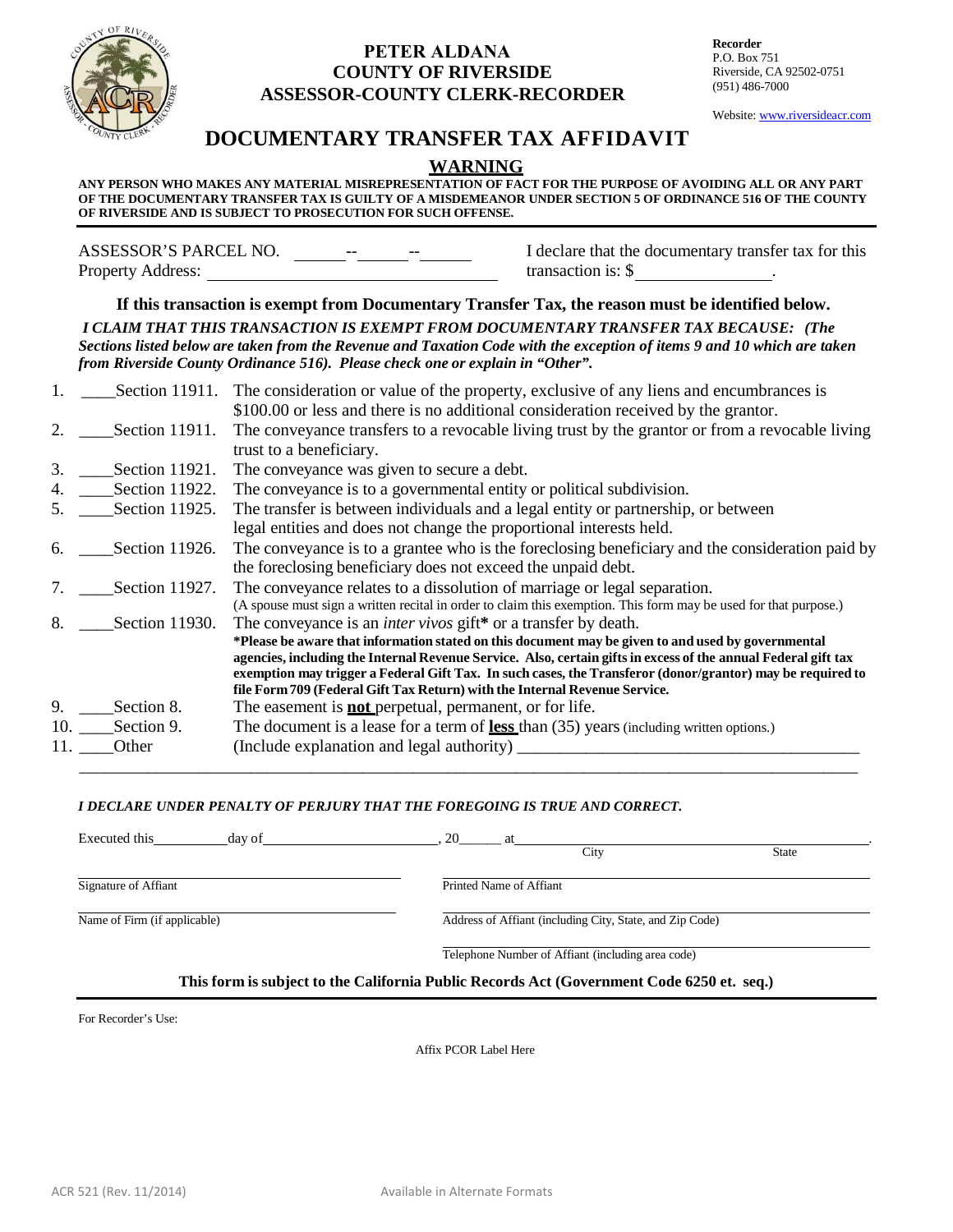

## **PETER ALDANA COUNTY OF RIVERSIDE ASSESSOR-COUNTY CLERK-RECORDER**

Website: [www.riversideacr.com](http://www.riversideacr.com/)

## **DOCUMENTARY TRANSFER TAX AFFIDAVIT**

## **WARNING**

**ANY PERSON WHO MAKES ANY MATERIAL MISREPRESENTATION OF FACT FOR THE PURPOSE OF AVOIDING ALL OR ANY PART OF THE DOCUMENTARY TRANSFER TAX IS GUILTY OF A MISDEMEANOR UNDER SECTION 5 OF ORDINANCE 516 OF THE COUNTY OF RIVERSIDE AND IS SUBJECT TO PROSECUTION FOR SUCH OFFENSE.**

ASSESSOR'S PARCEL NO. -- -- -- I declare that the documentary transfer tax for this Property Address: transaction is: \$ ...

**If this transaction is exempt from Documentary Transfer Tax, the reason must be identified below.** *I CLAIM THAT THIS TRANSACTION IS EXEMPT FROM DOCUMENTARY TRANSFER TAX BECAUSE: (The Sections listed below are taken from the Revenue and Taxation Code with the exception of items 9 and 10 which are taken from Riverside County Ordinance 516). Please check one or explain in "Other".*

|    |                       | Section 11911. The consideration or value of the property, exclusive of any liens and encumbrances is                                                                                                                        |
|----|-----------------------|------------------------------------------------------------------------------------------------------------------------------------------------------------------------------------------------------------------------------|
|    |                       | \$100.00 or less and there is no additional consideration received by the grantor.                                                                                                                                           |
| 2. | Section 11911.        | The conveyance transfers to a revocable living trust by the grantor or from a revocable living                                                                                                                               |
|    |                       | trust to a beneficiary.                                                                                                                                                                                                      |
|    | 3. Section 11921.     | The conveyance was given to secure a debt.                                                                                                                                                                                   |
|    | 4. Section 11922.     | The conveyance is to a governmental entity or political subdivision.                                                                                                                                                         |
| 5. | <b>Section 11925.</b> | The transfer is between individuals and a legal entity or partnership, or between                                                                                                                                            |
|    |                       | legal entities and does not change the proportional interests held.                                                                                                                                                          |
|    | Section 11926.<br>6.  | The conveyance is to a grantee who is the foreclosing beneficiary and the consideration paid by                                                                                                                              |
|    |                       | the foreclosing beneficiary does not exceed the unpaid debt.                                                                                                                                                                 |
|    | 7. Section 11927.     | The conveyance relates to a dissolution of marriage or legal separation.                                                                                                                                                     |
|    |                       | (A spouse must sign a written recital in order to claim this exemption. This form may be used for that purpose.)                                                                                                             |
|    | 8. Section 11930.     | The conveyance is an <i>inter vivos</i> gift* or a transfer by death.                                                                                                                                                        |
|    |                       | *Please be aware that information stated on this document may be given to and used by governmental                                                                                                                           |
|    |                       | agencies, including the Internal Revenue Service. Also, certain gifts in excess of the annual Federal gift tax<br>exemption may trigger a Federal Gift Tax. In such cases, the Transferor (donor/grantor) may be required to |
|    |                       | file Form 709 (Federal Gift Tax Return) with the Internal Revenue Service.                                                                                                                                                   |
|    | Section 8.<br>9.      | The easement is <b>not</b> perpetual, permanent, or for life.                                                                                                                                                                |
|    | $10.$ Section 9.      | The document is a lease for a term of $less than (35)$ years (including written options.)                                                                                                                                    |
|    | Other<br>11.          |                                                                                                                                                                                                                              |
|    |                       |                                                                                                                                                                                                                              |

#### *I DECLARE UNDER PENALTY OF PERJURY THAT THE FOREGOING IS TRUE AND CORRECT.*

| Executed this<br>day of      | 20<br>at                                                 |              |
|------------------------------|----------------------------------------------------------|--------------|
|                              | City                                                     | <b>State</b> |
| Signature of Affiant         | Printed Name of Affiant                                  |              |
| Name of Firm (if applicable) | Address of Affiant (including City, State, and Zip Code) |              |
|                              | Telephone Number of Affiant (including area code)        |              |

#### **This form is subject to the California Public Records Act (Government Code 6250 et. seq.)**

For Recorder's Use:

Affix PCOR Label Here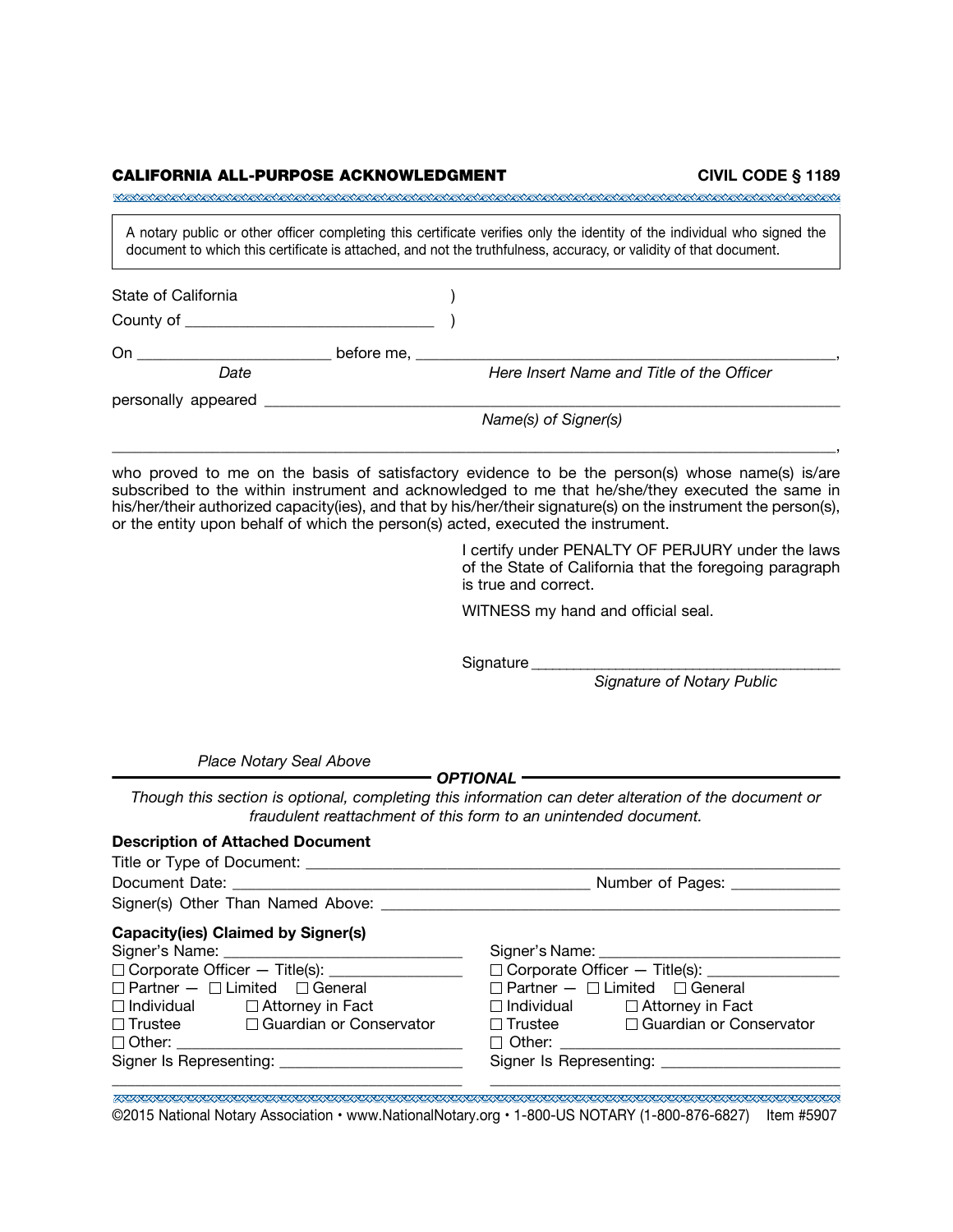#### CALIFORNIA ALL-PURPOSE ACKNOWLEDGMENT **CIVIL CODE § 1189**

A notary public or other officer completing this certificate verifies only the identity of the individual who signed the document to which this certificate is attached, and not the truthfulness, accuracy, or validity of that document. *Name(s) of Signer(s)* State of California ) County of \_\_\_\_\_\_\_\_\_\_\_\_\_\_\_\_\_\_\_\_\_\_\_\_\_\_\_\_\_\_\_\_ ) On \_\_\_\_\_\_\_\_\_\_\_\_\_\_\_\_\_\_\_\_\_\_\_\_\_ before me, \_\_\_\_\_\_\_\_\_\_\_\_\_\_\_\_\_\_\_\_\_\_\_\_\_\_\_\_\_\_\_\_\_\_\_\_\_\_\_\_\_\_\_\_\_\_\_\_\_\_\_\_\_\_, personally appeared \_\_\_\_\_\_\_\_\_\_\_\_\_\_\_\_\_\_\_\_\_\_\_\_\_\_\_\_\_\_\_\_\_\_\_\_\_\_\_\_\_\_\_\_\_\_\_\_\_\_\_\_\_\_\_\_\_\_\_\_\_\_\_\_\_\_\_\_\_\_\_\_\_\_ *Date Insert Name and Title of the Officer* 

who proved to me on the basis of satisfactory evidence to be the person(s) whose name(s) is/are subscribed to the within instrument and acknowledged to me that he/she/they executed the same in his/her/their authorized capacity(ies), and that by his/her/their signature(s) on the instrument the person(s), or the entity upon behalf of which the person(s) acted, executed the instrument.

\_\_\_\_\_\_\_\_\_\_\_\_\_\_\_\_\_\_\_\_\_\_\_\_\_\_\_\_\_\_\_\_\_\_\_\_\_\_\_\_\_\_\_\_\_\_\_\_\_\_\_\_\_\_\_\_\_\_\_\_\_\_\_\_\_\_\_\_\_\_\_\_\_\_\_\_\_\_\_\_\_\_\_\_\_\_\_\_\_\_\_\_\_\_,

I certify under PENALTY OF PERJURY under the laws of the State of California that the foregoing paragraph is true and correct.

WITNESS my hand and official seal.

Signature \_\_\_\_\_\_\_\_\_\_\_\_\_\_\_\_\_\_\_\_\_\_\_\_\_\_\_\_\_\_\_\_\_\_\_\_\_\_\_\_\_\_\_\_

*Signature of Notary Public*

*Place Notary Seal Above*

 $-$  OPTIONAL  $-$ 

*Though this section is optional, completing this information can deter alteration of the document or fraudulent reattachment of this form to an unintended document.*

| $\Box$ Partner $ \Box$ Limited $\Box$ General |  |  |
|-----------------------------------------------|--|--|
| $\Box$ Individual $\Box$ Attorney in Fact     |  |  |
| $\Box$ Trustee $\Box$ Guardian or Conservator |  |  |
|                                               |  |  |
|                                               |  |  |
|                                               |  |  |

©2015 National Notary Association • www.NationalNotary.org • 1-800-US NOTARY (1-800-876-6827) Item #5907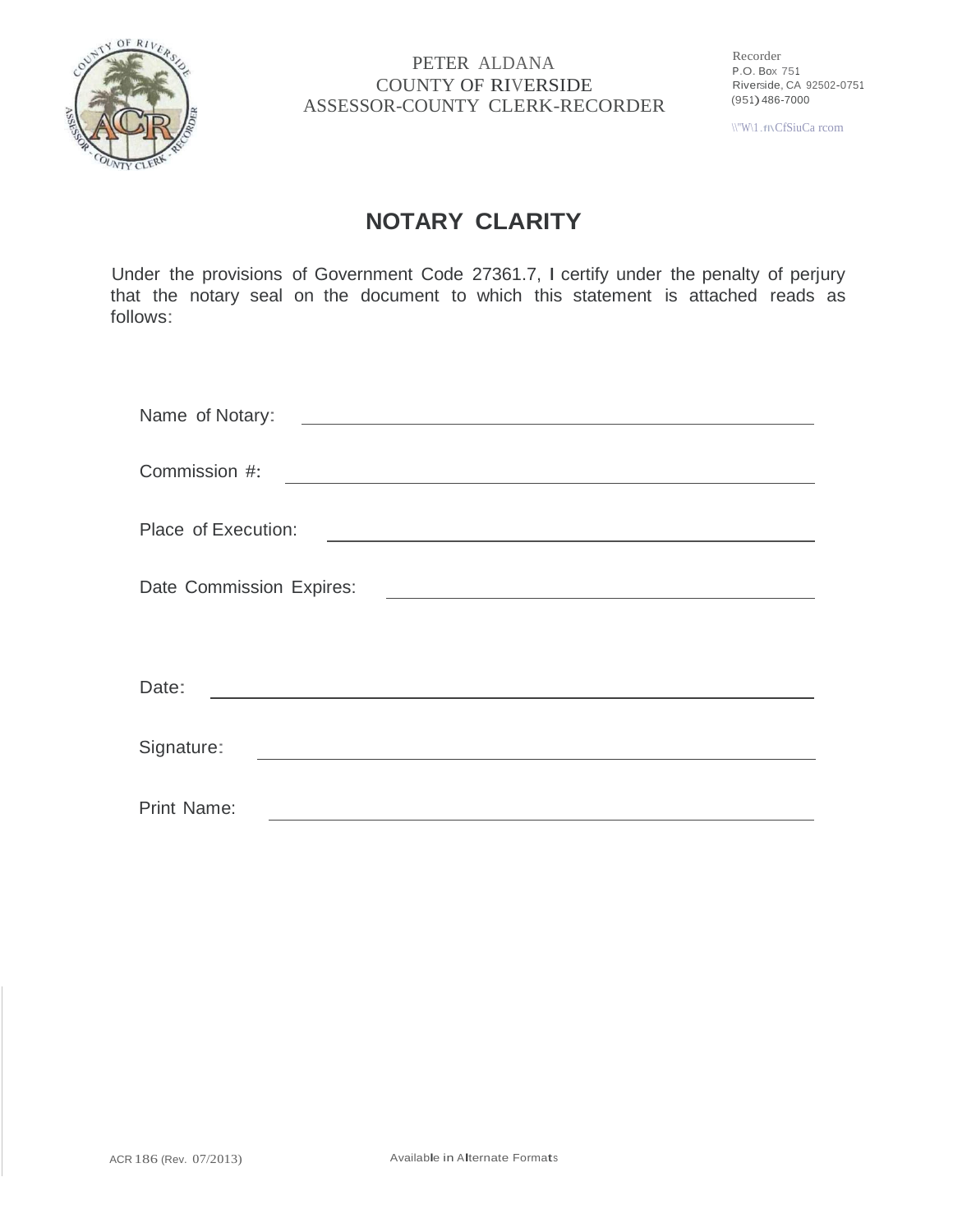

## PETER ALDANA COUNTY OF RIVERSIDE ASSESSOR-COUNTY CLERK-RECORDER

Recorder P.O. Box 751 Riverside,CA 92502-0751 (951)486-7000

\\"W\1.fl\CfSiuCa rcom

# **NOTARY CLARITY**

Under the provisions of Government Code 27361.7, I certify under the penalty of perjury that the notary seal on the document to which this statement is attached reads as follows:

| Name of Notary:<br><u> Alexandria de la contrada de la contrada de la contrada de la contrada de la contrada de la contrada de la c</u>                                                                                                               |  |  |  |
|-------------------------------------------------------------------------------------------------------------------------------------------------------------------------------------------------------------------------------------------------------|--|--|--|
| Commission #:<br><u> 1989 - Johann Harry Harry Harry Harry Harry Harry Harry Harry Harry Harry Harry Harry Harry Harry Harry Harry Harry Harry Harry Harry Harry Harry Harry Harry Harry Harry Harry Harry Harry Harry Harry Harry Harry Harry Ha</u> |  |  |  |
| Place of Execution:<br><u> 1980 - Andrea Station, amerikansk politik (d. 1980)</u>                                                                                                                                                                    |  |  |  |
| Date Commission Expires:<br><u> 1980 - Jan Barbara (h. 1980).</u><br>1900 - Johann Barbara, frantziar martxar (h. 1900).                                                                                                                              |  |  |  |
|                                                                                                                                                                                                                                                       |  |  |  |
| Date:<br><u> 1980 - Jan James James, politik eta politik eta politik eta politik eta politik eta politik eta politik eta </u>                                                                                                                         |  |  |  |
| Signature:<br><u> 1989 - Johann Stein, mars and de Branch and de Branch and de Branch and de Branch and de Branch and de Branch</u>                                                                                                                   |  |  |  |
| Print Name:                                                                                                                                                                                                                                           |  |  |  |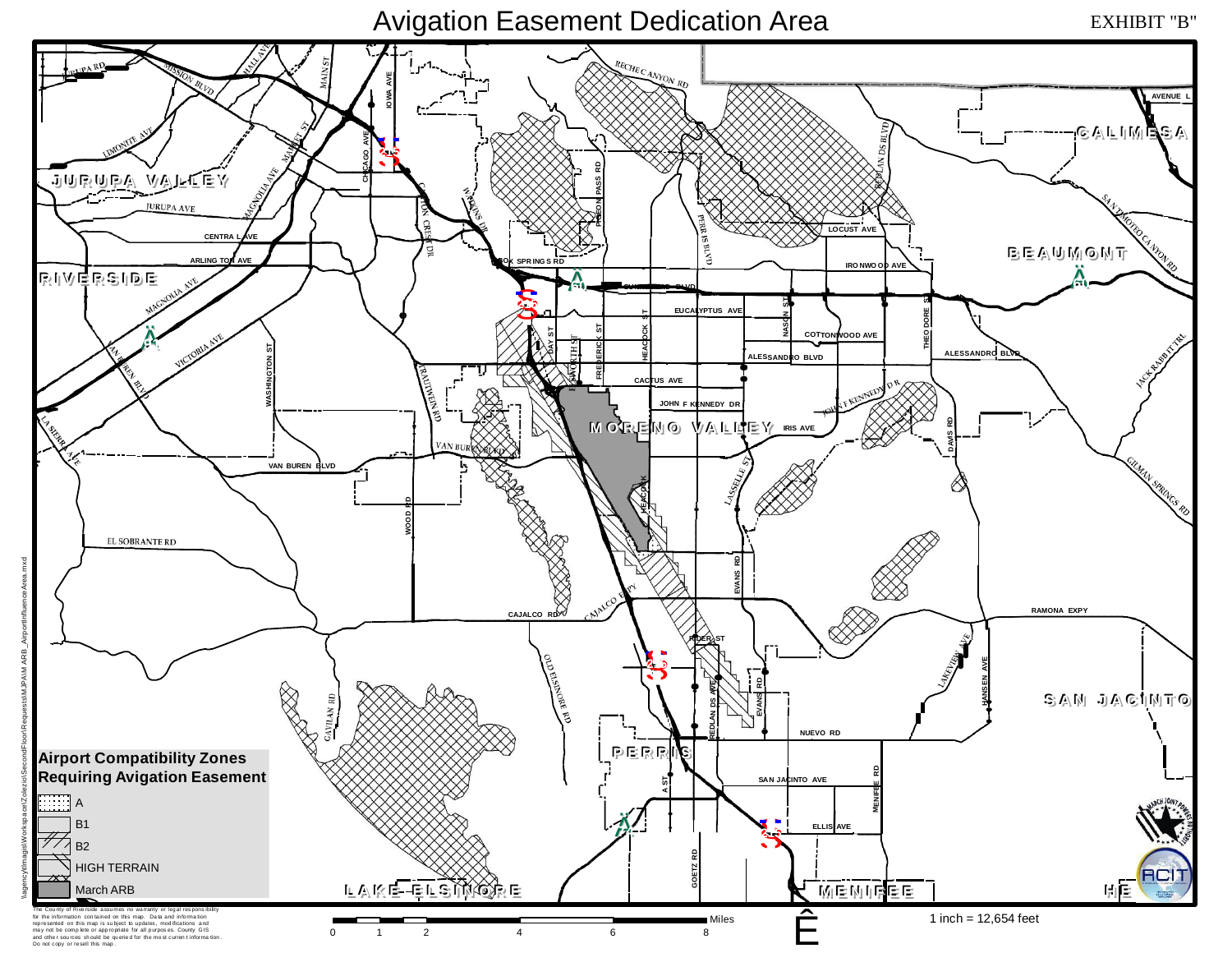Avigation Easement Dedication Area **EXHIBIT "B"**